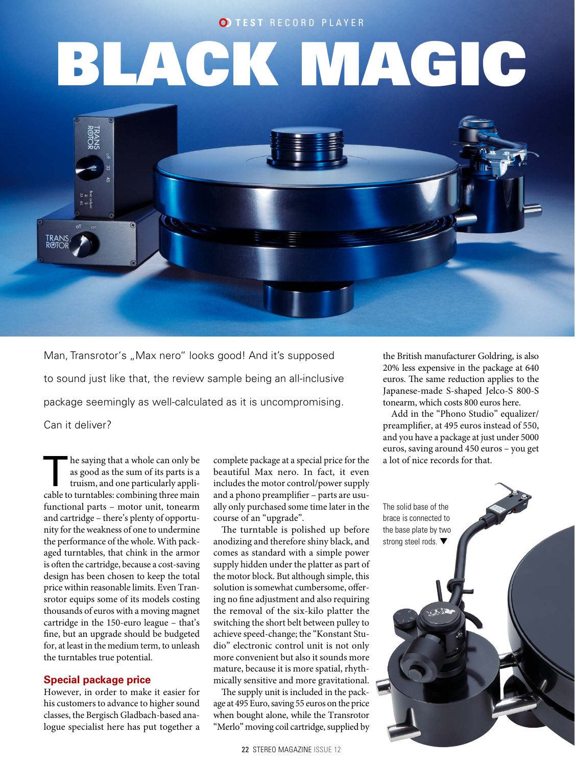# **O TEST RECORD PLAYER**

# **BLACK MAGIC**



Man, Transrotor's "Max nero" looks good! And it's supposed to sound just like that, the review sample being an all-inclusive package seemingly as well-calculated as it is uncompromising. Can it deliver?

The saying that a whole can only be<br>as good as the sum of its parts is a<br>truism, and one particularly appli-<br>cable to turntable combining three main as good as the sum of its parts is a truism, and one particularly applicable to turntables: combining three main functional parts – motor unit, tonearm and cartridge – there's plenty of opportunity for the weakness of one to undermine the performance of the whole. With packaged turntables, that chink in the armor is often the cartridge, because a cost-saving design has been chosen to keep the total price within reasonable limits. Even Transrotor equips some of its models costing thousands of euros with a moving magnet cartridge in the 150-euro league – that's fine, but an upgrade should be budgeted for, at least in the medium term, to unleash the turntables true potential.

# **Special package price**

However, in order to make it easier for his customers to advance to higher sound classes, the Bergisch Gladbach-based analogue specialist here has put together a

complete package at a special price for the beautiful Max nero. In fact, it even includes the motor control/power supply and a phono preamplifier – parts are usually only purchased some time later in the course of an "upgrade".

The turntable is polished up before anodizing and therefore shiny black, and comes as standard with a simple power supply hidden under the platter as part of the motor block. But although simple, this solution is somewhat cumbersome, offering no fine adjustment and also requiring the removal of the six-kilo platter the switching the short belt between pulley to achieve speed-change; the "Konstant Studio" electronic control unit is not only more convenient but also it sounds more mature, because it is more spatial, rhythmically sensitive and more gravitational.

The supply unit is included in the package at 495 Euro, saving 55 euros on the price when bought alone, while the Transrotor "Merlo" moving coil cartridge, supplied by

22 STEREO MAGAZINE ISSUE 12

the British manufacturer Goldring, is also 20% less expensive in the package at 640 euros. The same reduction applies to the Japanese-made S-shaped Jelco-S 800-S tonearm, which costs 800 euros here.

Add in the "Phono Studio" equalizer/ preamplifier, at 495 euros instead of 550, and you have a package at just under 5000 euros, saving around 450 euros – you get a lot of nice records for that.

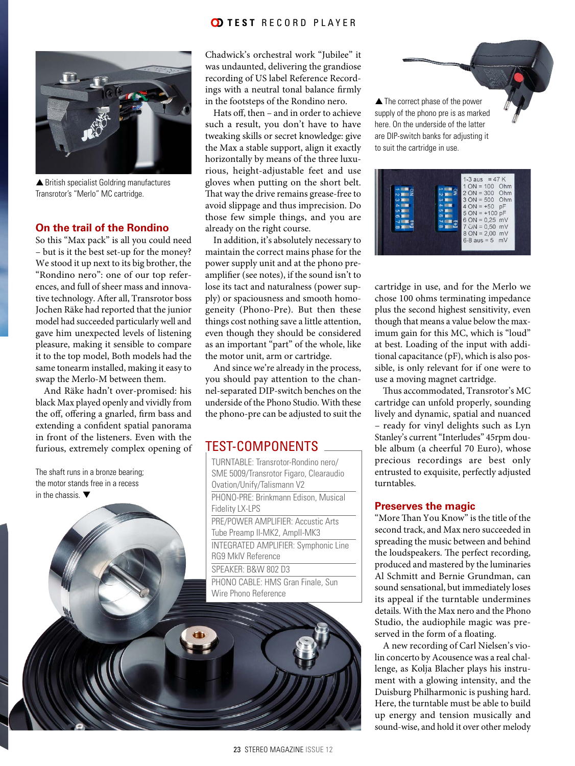# **OD TEST RECORD PLAYER**



▲ British specialist Goldring manufactures Transrotor's "Merlo" MC cartridge.

## **On the trail of the Rondino**

So this "Max pack" is all you could need – but is it the best set-up for the money? We stood it up next to its big brother, the "Rondino nero": one of our top references, and full of sheer mass and innovative technology. After all, Transrotor boss Jochen Räke had reported that the junior model had succeeded particularly well and gave him unexpected levels of listening pleasure, making it sensible to compare it to the top model, Both models had the same tonearm installed, making it easy to swap the Merlo-M between them.

And Räke hadn't over-promised: his black Max played openly and vividly from the off, offering a gnarled, firm bass and extending a confident spatial panorama in front of the listeners. Even with the furious, extremely complex opening of

The shaft runs in a bronze bearing; the motor stands free in a recess in the chassis.  $\blacktriangledown$ 

Chadwick's orchestral work "Jubilee" it was undaunted, delivering the grandiose recording of US label Reference Recordings with a neutral tonal balance firmly in the footsteps of the Rondino nero.

Hats off, then – and in order to achieve such a result, you don't have to have tweaking skills or secret knowledge: give the Max a stable support, align it exactly horizontally by means of the three luxurious, height-adjustable feet and use gloves when putting on the short belt. That way the drive remains grease-free to avoid slippage and thus imprecision. Do those few simple things, and you are already on the right course.

In addition, it's absolutely necessary to maintain the correct mains phase for the power supply unit and at the phono preamplifier (see notes), if the sound isn't to lose its tact and naturalness (power supply) or spaciousness and smooth homogeneity (Phono-Pre). But then these things cost nothing save a little attention, even though they should be considered as an important "part" of the whole, like the motor unit, arm or cartridge.

And since we're already in the process, you should pay attention to the channel-separated DIP-switch benches on the underside of the Phono Studio. With these the phono-pre can be adjusted to suit the

# TEST-COMPONENTS

TURNTABLE: Transrotor-Rondino nero/ SME 5009/Transrotor Figaro, Clearaudio Ovation/Unify/Talismann V2 PHONO-PRE: Brinkmann Edison, Musical Fidelity LX-LPS PRE/POWER AMPLIFIER: Accustic Arts Tube Preamp II-MK2, AmpII-MK3 INTEGRATED AMPLIFIER: Symphonic Line RG9 MkIV Reference SPEAKER: B&W 802 D3 PHONO CABLE: HMS Gran Finale, Sun Wire Phono Reference

▲ The correct phase of the power supply of the phono pre is as marked here. On the underside of the latter are DIP-switch banks for adjusting it to suit the cartridge in use.

|  | 1-3 aus = $47 K$<br>$1 ON = 100 Ohm$<br>$2 ON = 300 Ohm$<br>$3 ON = 500 Ohm$<br>$4 ON = +50 pF$<br>$5 ON = +100 pF$<br>$6 ON = 0.25 mV$<br>$7$ ON = 0.50 mV<br>$8 ON = 2,00 mV$<br>$6-8$ aus = 5 mV |
|--|-----------------------------------------------------------------------------------------------------------------------------------------------------------------------------------------------------|
|--|-----------------------------------------------------------------------------------------------------------------------------------------------------------------------------------------------------|

cartridge in use, and for the Merlo we chose 100 ohms terminating impedance plus the second highest sensitivity, even though that means a value below the maximum gain for this MC, which is "loud" at best. Loading of the input with additional capacitance (pF), which is also possible, is only relevant for if one were to use a moving magnet cartridge.

Thus accommodated, Transrotor's MC cartridge can unfold properly, sounding lively and dynamic, spatial and nuanced – ready for vinyl delights such as Lyn Stanley's current "Interludes" 45rpm double album (a cheerful 70 Euro), whose precious recordings are best only entrusted to exquisite, perfectly adjusted turntables.

### **Preserves the magic**

"More Than You Know" is the title of the second track, and Max nero succeeded in spreading the music between and behind the loudspeakers. The perfect recording, produced and mastered by the luminaries Al Schmitt and Bernie Grundman, can sound sensational, but immediately loses its appeal if the turntable undermines details. With the Max nero and the Phono Studio, the audiophile magic was preserved in the form of a floating.

A new recording of Carl Nielsen's violin concerto by Acousence was a real challenge, as Kolja Blacher plays his instrument with a glowing intensity, and the Duisburg Philharmonic is pushing hard. Here, the turntable must be able to build up energy and tension musically and sound-wise, and hold it over other melody